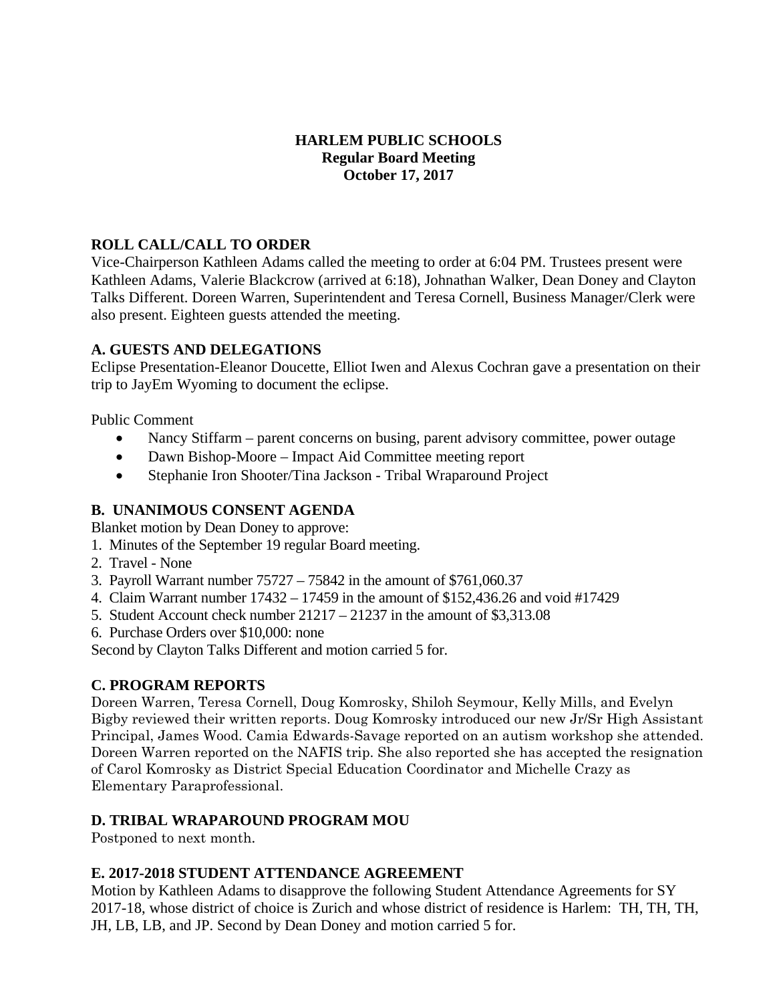# **HARLEM PUBLIC SCHOOLS Regular Board Meeting October 17, 2017**

# **ROLL CALL/CALL TO ORDER**

Vice-Chairperson Kathleen Adams called the meeting to order at 6:04 PM. Trustees present were Kathleen Adams, Valerie Blackcrow (arrived at 6:18), Johnathan Walker, Dean Doney and Clayton Talks Different. Doreen Warren, Superintendent and Teresa Cornell, Business Manager/Clerk were also present. Eighteen guests attended the meeting.

### **A. GUESTS AND DELEGATIONS**

Eclipse Presentation-Eleanor Doucette, Elliot Iwen and Alexus Cochran gave a presentation on their trip to JayEm Wyoming to document the eclipse.

Public Comment

- Nancy Stiffarm parent concerns on busing, parent advisory committee, power outage
- Dawn Bishop-Moore Impact Aid Committee meeting report
- Stephanie Iron Shooter/Tina Jackson Tribal Wraparound Project

# **B. UNANIMOUS CONSENT AGENDA**

Blanket motion by Dean Doney to approve:

- 1. Minutes of the September 19 regular Board meeting.
- 2. Travel None
- 3. Payroll Warrant number 75727 75842 in the amount of \$761,060.37
- 4. Claim Warrant number 17432 17459 in the amount of \$152,436.26 and void #17429
- 5. Student Account check number 21217 21237 in the amount of \$3,313.08
- 6. Purchase Orders over \$10,000: none

Second by Clayton Talks Different and motion carried 5 for.

# **C. PROGRAM REPORTS**

Doreen Warren, Teresa Cornell, Doug Komrosky, Shiloh Seymour, Kelly Mills, and Evelyn Bigby reviewed their written reports. Doug Komrosky introduced our new Jr/Sr High Assistant Principal, James Wood. Camia Edwards-Savage reported on an autism workshop she attended. Doreen Warren reported on the NAFIS trip. She also reported she has accepted the resignation of Carol Komrosky as District Special Education Coordinator and Michelle Crazy as Elementary Paraprofessional.

# **D. TRIBAL WRAPAROUND PROGRAM MOU**

Postponed to next month.

# **E. 2017-2018 STUDENT ATTENDANCE AGREEMENT**

Motion by Kathleen Adams to disapprove the following Student Attendance Agreements for SY 2017-18, whose district of choice is Zurich and whose district of residence is Harlem: TH, TH, TH, JH, LB, LB, and JP. Second by Dean Doney and motion carried 5 for.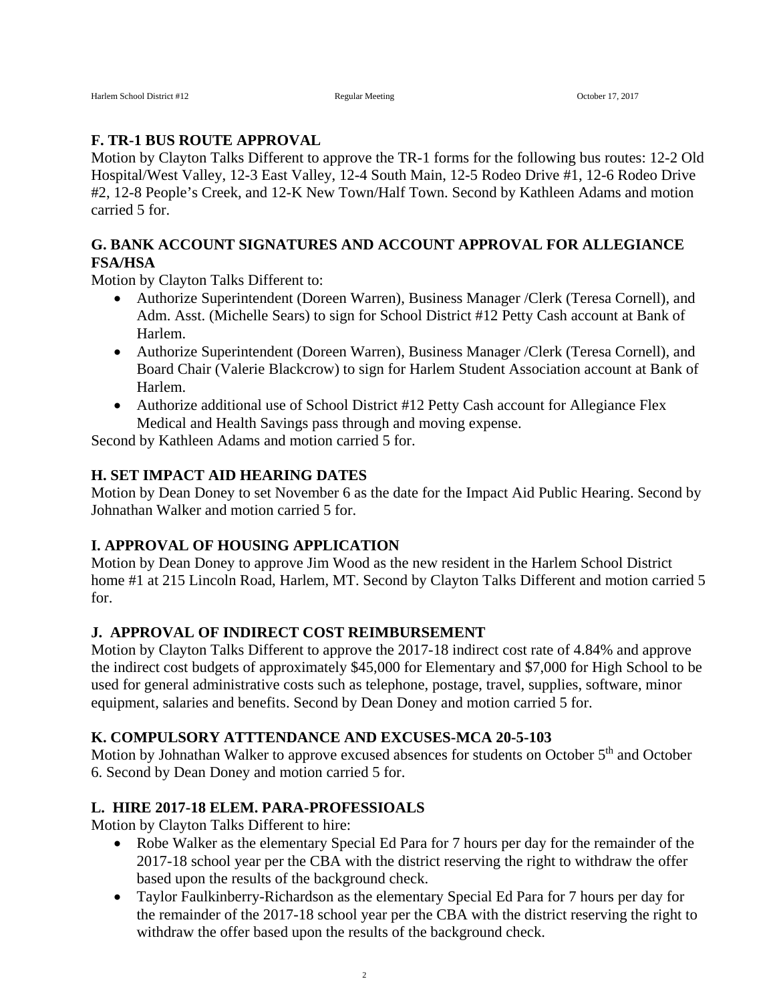### **F. TR-1 BUS ROUTE APPROVAL**

Motion by Clayton Talks Different to approve the TR-1 forms for the following bus routes: 12-2 Old Hospital/West Valley, 12-3 East Valley, 12-4 South Main, 12-5 Rodeo Drive #1, 12-6 Rodeo Drive #2, 12-8 People's Creek, and 12-K New Town/Half Town. Second by Kathleen Adams and motion carried 5 for.

# **G. BANK ACCOUNT SIGNATURES AND ACCOUNT APPROVAL FOR ALLEGIANCE FSA/HSA**

Motion by Clayton Talks Different to:

- Authorize Superintendent (Doreen Warren), Business Manager /Clerk (Teresa Cornell), and Adm. Asst. (Michelle Sears) to sign for School District #12 Petty Cash account at Bank of Harlem.
- Authorize Superintendent (Doreen Warren), Business Manager /Clerk (Teresa Cornell), and Board Chair (Valerie Blackcrow) to sign for Harlem Student Association account at Bank of Harlem.
- Authorize additional use of School District #12 Petty Cash account for Allegiance Flex Medical and Health Savings pass through and moving expense.

Second by Kathleen Adams and motion carried 5 for.

### **H. SET IMPACT AID HEARING DATES**

Motion by Dean Doney to set November 6 as the date for the Impact Aid Public Hearing. Second by Johnathan Walker and motion carried 5 for.

### **I. APPROVAL OF HOUSING APPLICATION**

Motion by Dean Doney to approve Jim Wood as the new resident in the Harlem School District home #1 at 215 Lincoln Road, Harlem, MT. Second by Clayton Talks Different and motion carried 5 for.

### **J. APPROVAL OF INDIRECT COST REIMBURSEMENT**

Motion by Clayton Talks Different to approve the 2017-18 indirect cost rate of 4.84% and approve the indirect cost budgets of approximately \$45,000 for Elementary and \$7,000 for High School to be used for general administrative costs such as telephone, postage, travel, supplies, software, minor equipment, salaries and benefits. Second by Dean Doney and motion carried 5 for.

### **K. COMPULSORY ATTTENDANCE AND EXCUSES-MCA 20-5-103**

Motion by Johnathan Walker to approve excused absences for students on October 5<sup>th</sup> and October 6. Second by Dean Doney and motion carried 5 for.

### **L. HIRE 2017-18 ELEM. PARA-PROFESSIOALS**

Motion by Clayton Talks Different to hire:

- Robe Walker as the elementary Special Ed Para for 7 hours per day for the remainder of the 2017-18 school year per the CBA with the district reserving the right to withdraw the offer based upon the results of the background check.
- Taylor Faulkinberry-Richardson as the elementary Special Ed Para for 7 hours per day for the remainder of the 2017-18 school year per the CBA with the district reserving the right to withdraw the offer based upon the results of the background check.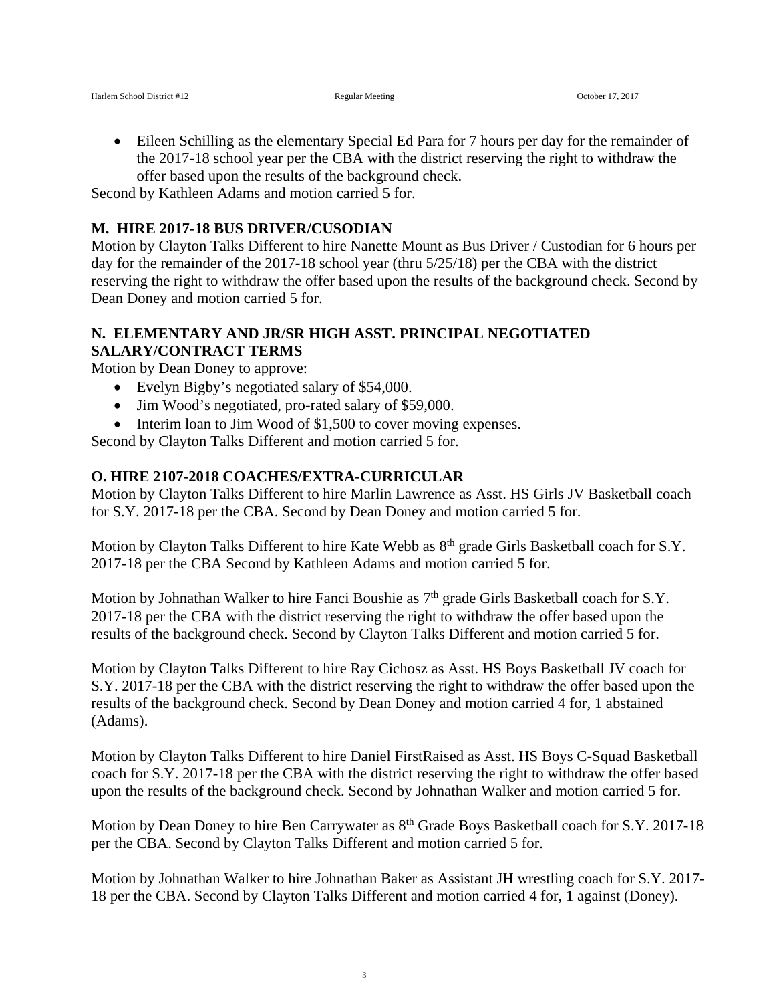• Eileen Schilling as the elementary Special Ed Para for 7 hours per day for the remainder of the 2017-18 school year per the CBA with the district reserving the right to withdraw the offer based upon the results of the background check.

Second by Kathleen Adams and motion carried 5 for.

#### **M. HIRE 2017-18 BUS DRIVER/CUSODIAN**

Motion by Clayton Talks Different to hire Nanette Mount as Bus Driver / Custodian for 6 hours per day for the remainder of the 2017-18 school year (thru 5/25/18) per the CBA with the district reserving the right to withdraw the offer based upon the results of the background check. Second by Dean Doney and motion carried 5 for.

#### **N. ELEMENTARY AND JR/SR HIGH ASST. PRINCIPAL NEGOTIATED SALARY/CONTRACT TERMS**

Motion by Dean Doney to approve:

- Evelyn Bigby's negotiated salary of \$54,000.
- Jim Wood's negotiated, pro-rated salary of \$59,000.
- Interim loan to Jim Wood of \$1,500 to cover moving expenses.

Second by Clayton Talks Different and motion carried 5 for.

### **O. HIRE 2107-2018 COACHES/EXTRA-CURRICULAR**

Motion by Clayton Talks Different to hire Marlin Lawrence as Asst. HS Girls JV Basketball coach for S.Y. 2017-18 per the CBA. Second by Dean Doney and motion carried 5 for.

Motion by Clayton Talks Different to hire Kate Webb as  $8<sup>th</sup>$  grade Girls Basketball coach for S.Y. 2017-18 per the CBA Second by Kathleen Adams and motion carried 5 for.

Motion by Johnathan Walker to hire Fanci Boushie as  $7<sup>th</sup>$  grade Girls Basketball coach for S.Y. 2017-18 per the CBA with the district reserving the right to withdraw the offer based upon the results of the background check. Second by Clayton Talks Different and motion carried 5 for.

Motion by Clayton Talks Different to hire Ray Cichosz as Asst. HS Boys Basketball JV coach for S.Y. 2017-18 per the CBA with the district reserving the right to withdraw the offer based upon the results of the background check. Second by Dean Doney and motion carried 4 for, 1 abstained (Adams).

Motion by Clayton Talks Different to hire Daniel FirstRaised as Asst. HS Boys C-Squad Basketball coach for S.Y. 2017-18 per the CBA with the district reserving the right to withdraw the offer based upon the results of the background check. Second by Johnathan Walker and motion carried 5 for.

Motion by Dean Doney to hire Ben Carrywater as  $8<sup>th</sup>$  Grade Boys Basketball coach for S.Y. 2017-18 per the CBA. Second by Clayton Talks Different and motion carried 5 for.

Motion by Johnathan Walker to hire Johnathan Baker as Assistant JH wrestling coach for S.Y. 2017- 18 per the CBA. Second by Clayton Talks Different and motion carried 4 for, 1 against (Doney).